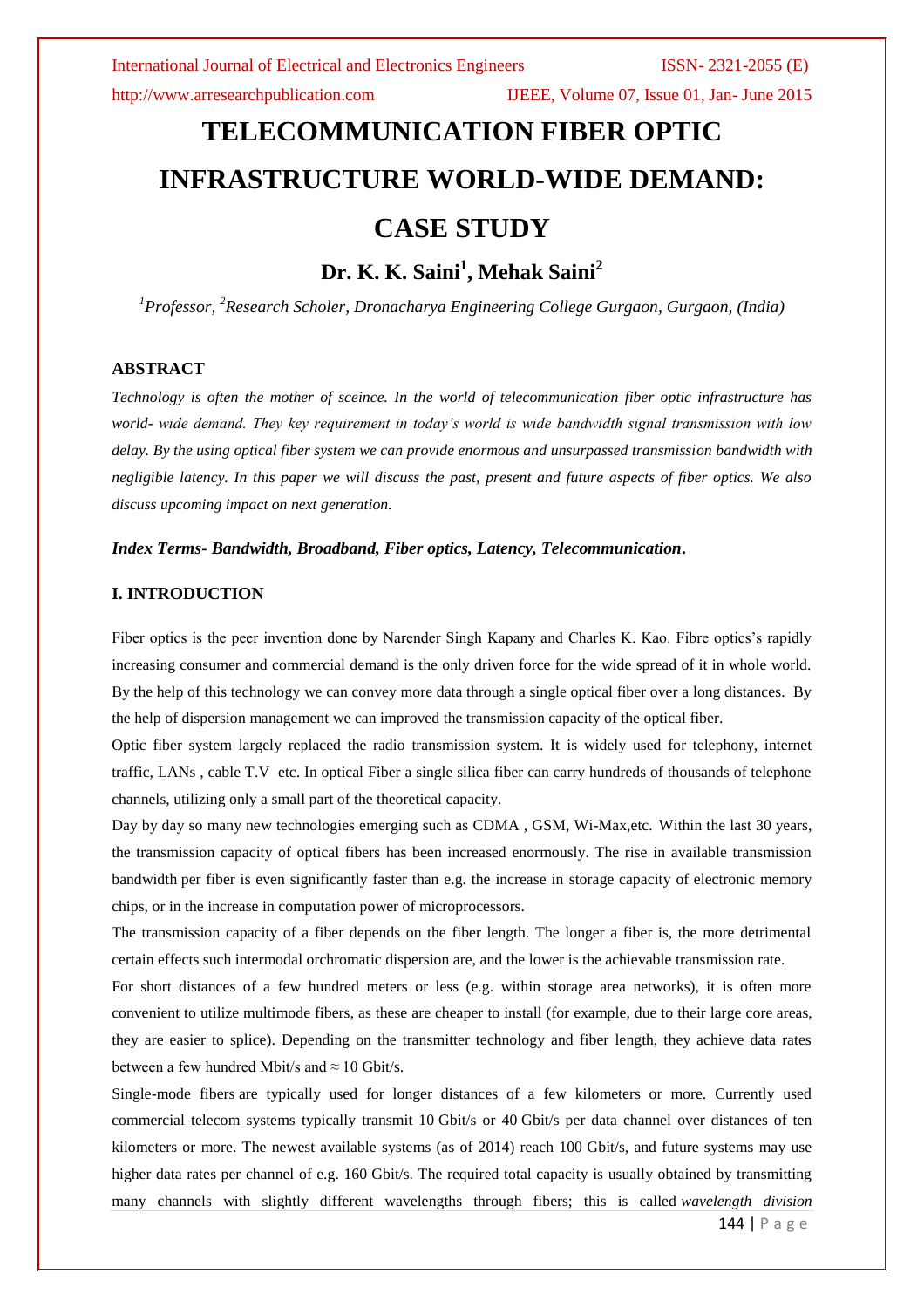http://www.arresearchpublication.com IJEEE, Volume 07, Issue 01, Jan- June 2015

# **TELECOMMUNICATION FIBER OPTIC INFRASTRUCTURE WORLD-WIDE DEMAND: CASE STUDY**

# **Dr. K. K. Saini<sup>1</sup> , Mehak Saini<sup>2</sup>**

*<sup>1</sup>Professor, <sup>2</sup>Research Scholer, Dronacharya Engineering College Gurgaon, Gurgaon, (India)*

# **ABSTRACT**

*Technology is often the mother of sceince. In the world of telecommunication fiber optic infrastructure has world- wide demand. They key requirement in today's world is wide bandwidth signal transmission with low delay. By the using optical fiber system we can provide enormous and unsurpassed transmission bandwidth with negligible latency. In this paper we will discuss the past, present and future aspects of fiber optics. We also discuss upcoming impact on next generation.*

### *Index Terms- Bandwidth, Broadband, Fiber optics, Latency, Telecommunication***.**

# **I. INTRODUCTION**

Fiber optics is the peer invention done by Narender Singh Kapany and Charles K. Kao. Fibre optics's rapidly increasing consumer and commercial demand is the only driven force for the wide spread of it in whole world. By the help of this technology we can convey more data through a single optical fiber over a long distances. By the help of dispersion management we can improved the transmission capacity of the optical fiber.

Optic fiber system largely replaced the radio transmission system. It is widely used for telephony, internet traffic, LANs , cable T.V etc. In optical Fiber a single silica fiber can carry hundreds of thousands of telephone channels, utilizing only a small part of the theoretical capacity.

Day by day so many new technologies emerging such as CDMA , GSM, Wi-Max,etc. Within the last 30 years, the transmission capacity of optical fibers has been increased enormously. The rise in available transmission bandwidth per fiber is even significantly faster than e.g. the increase in storage capacity of electronic memory chips, or in the increase in computation power of microprocessors.

The transmission capacity of a fiber depends on the fiber length. The longer a fiber is, the more detrimental certain effects such intermodal orchromatic dispersion are, and the lower is the achievable transmission rate.

For short distances of a few hundred meters or less (e.g. within storage area networks), it is often more convenient to utilize [multimode fibers,](http://www.rp-photonics.com/multimode_fibers.html) as these are cheaper to install (for example, due to their large [core](http://www.rp-photonics.com/fiber_core.html) areas, they are easier to splice). Depending on the transmitter technology and fiber length, they achieve data rates between a few hundred Mbit/s and  $\approx$  10 Gbit/s.

[Single-mode fibers](http://www.rp-photonics.com/single_mode_fibers.html) are typically used for longer distances of a few kilometers or more. Currently used commercial telecom systems typically transmit 10 Gbit/s or 40 Gbit/s per data channel over distances of ten kilometers or more. The newest available systems (as of 2014) reach 100 Gbit/s, and future systems may use higher data rates per channel of e.g. 160 Gbit/s. The required total capacity is usually obtained by transmitting many channels with slightly different wavelengths through fibers; this is called *[wavelength division](http://www.rp-photonics.com/wavelength_division_multiplexing.html)* 

144 | P a g e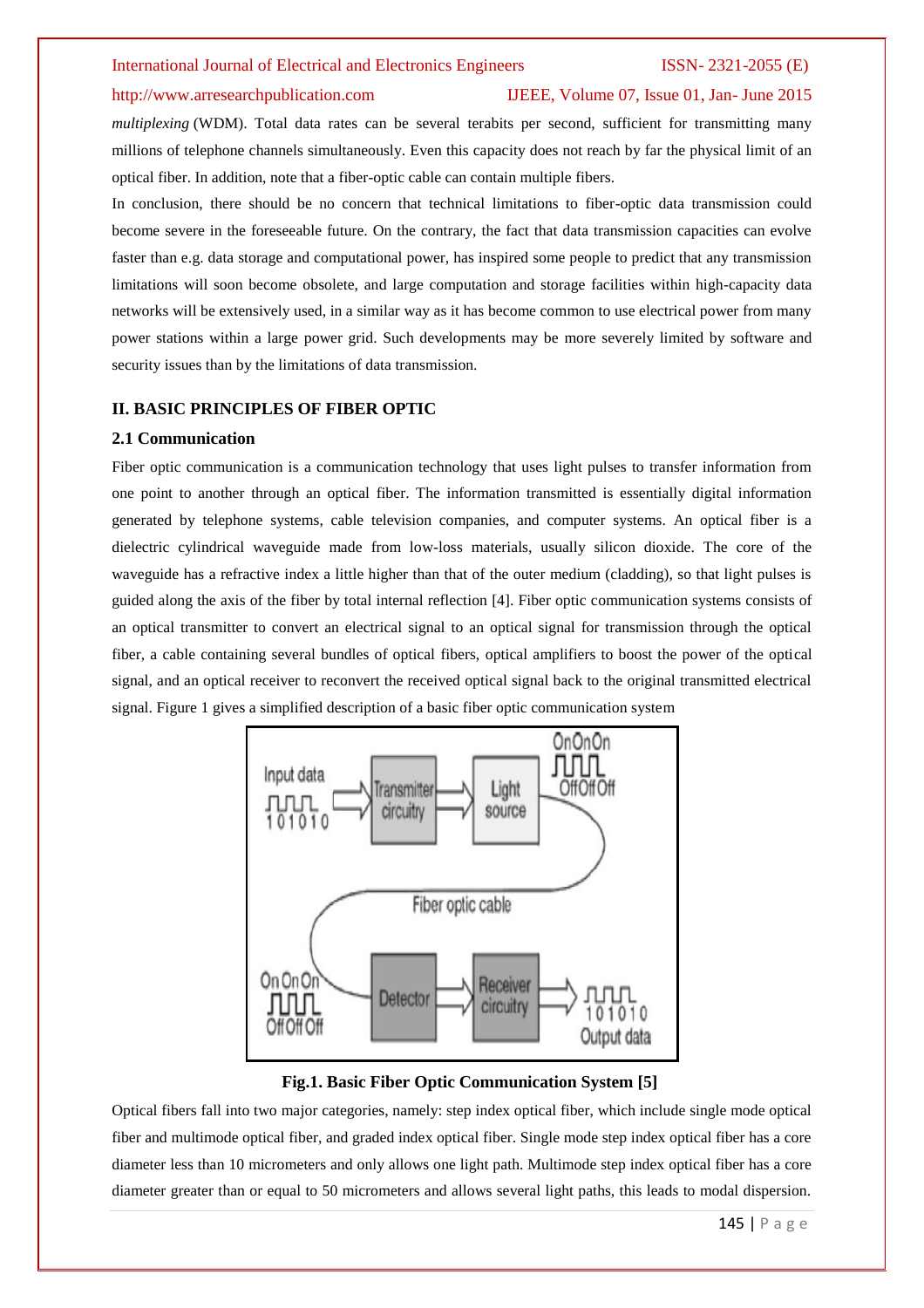# http://www.arresearchpublication.com IJEEE, Volume 07, Issue 01, Jan- June 2015

*multiplexing* (WDM). Total data rates can be several terabits per second, sufficient for transmitting many millions of telephone channels simultaneously. Even this capacity does not reach by far the physical limit of an optical fiber. In addition, note that a fiber-optic cable can contain multiple fibers.

In conclusion, there should be no concern that technical limitations to fiber-optic data transmission could become severe in the foreseeable future. On the contrary, the fact that data transmission capacities can evolve faster than e.g. data storage and computational power, has inspired some people to predict that any transmission limitations will soon become obsolete, and large computation and storage facilities within high-capacity data networks will be extensively used, in a similar way as it has become common to use electrical power from many power stations within a large power grid. Such developments may be more severely limited by software and security issues than by the limitations of data transmission.

### **II. BASIC PRINCIPLES OF FIBER OPTIC**

# **2.1 Communication**

Fiber optic communication is a communication technology that uses light pulses to transfer information from one point to another through an optical fiber. The information transmitted is essentially digital information generated by telephone systems, cable television companies, and computer systems. An optical fiber is a dielectric cylindrical waveguide made from low-loss materials, usually silicon dioxide. The core of the waveguide has a refractive index a little higher than that of the outer medium (cladding), so that light pulses is guided along the axis of the fiber by total internal reflection [4]. Fiber optic communication systems consists of an optical transmitter to convert an electrical signal to an optical signal for transmission through the optical fiber, a cable containing several bundles of optical fibers, optical amplifiers to boost the power of the optical signal, and an optical receiver to reconvert the received optical signal back to the original transmitted electrical signal. Figure 1 gives a simplified description of a basic fiber optic communication system



**Fig.1. Basic Fiber Optic Communication System [5]**

Optical fibers fall into two major categories, namely: step index optical fiber, which include single mode optical fiber and multimode optical fiber, and graded index optical fiber. Single mode step index optical fiber has a core diameter less than 10 micrometers and only allows one light path. Multimode step index optical fiber has a core diameter greater than or equal to 50 micrometers and allows several light paths, this leads to modal dispersion.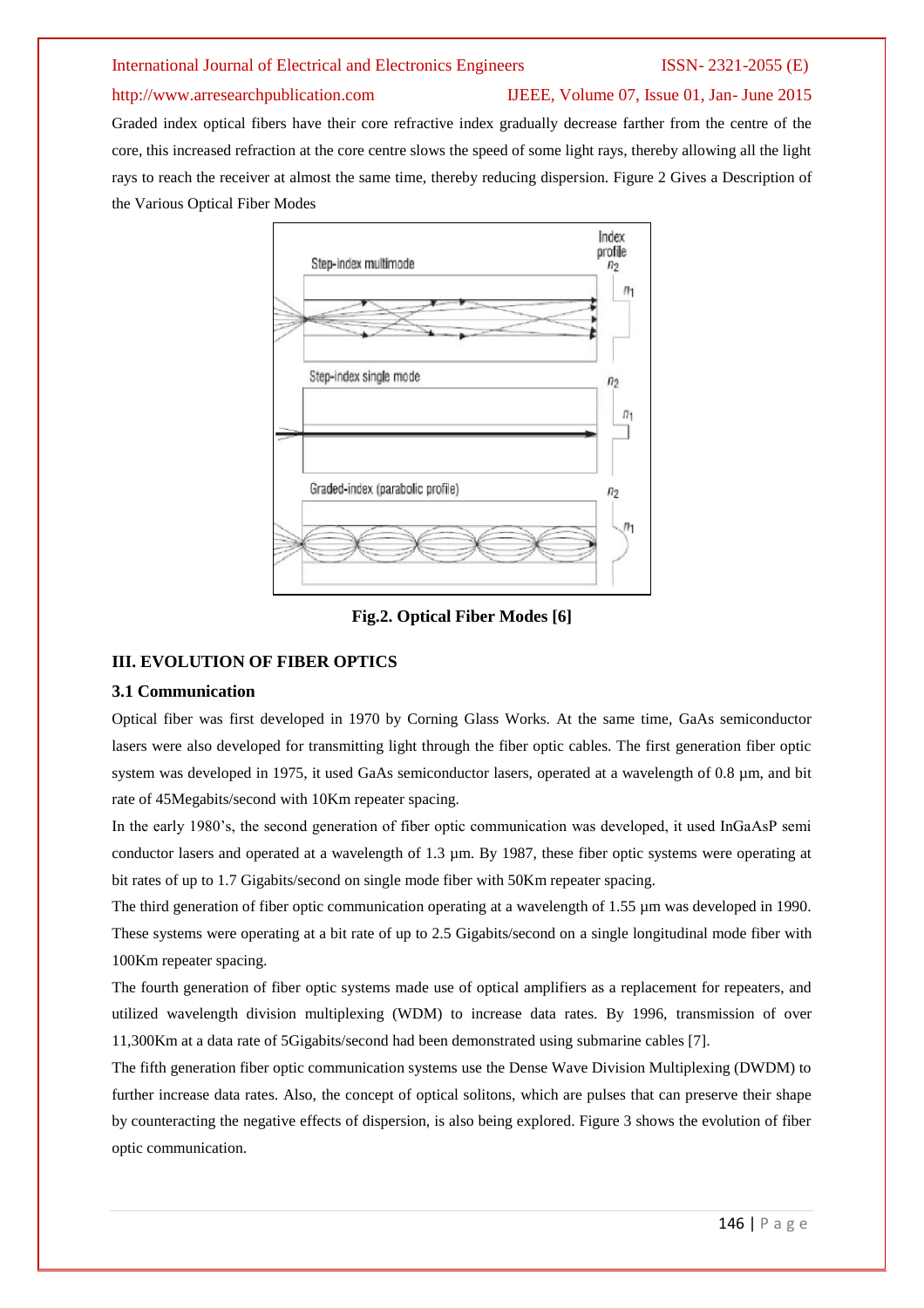# http://www.arresearchpublication.com IJEEE, Volume 07, Issue 01, Jan- June 2015

Graded index optical fibers have their core refractive index gradually decrease farther from the centre of the core, this increased refraction at the core centre slows the speed of some light rays, thereby allowing all the light rays to reach the receiver at almost the same time, thereby reducing dispersion. Figure 2 Gives a Description of the Various Optical Fiber Modes



**Fig.2. Optical Fiber Modes [6]**

# **III. EVOLUTION OF FIBER OPTICS**

# **3.1 Communication**

Optical fiber was first developed in 1970 by Corning Glass Works. At the same time, GaAs semiconductor lasers were also developed for transmitting light through the fiber optic cables. The first generation fiber optic system was developed in 1975, it used GaAs semiconductor lasers, operated at a wavelength of 0.8 µm, and bit rate of 45Megabits/second with 10Km repeater spacing.

In the early 1980's, the second generation of fiber optic communication was developed, it used InGaAsP semi conductor lasers and operated at a wavelength of 1.3 µm. By 1987, these fiber optic systems were operating at bit rates of up to 1.7 Gigabits/second on single mode fiber with 50Km repeater spacing.

The third generation of fiber optic communication operating at a wavelength of 1.55  $\mu$ m was developed in 1990. These systems were operating at a bit rate of up to 2.5 Gigabits/second on a single longitudinal mode fiber with 100Km repeater spacing.

The fourth generation of fiber optic systems made use of optical amplifiers as a replacement for repeaters, and utilized wavelength division multiplexing (WDM) to increase data rates. By 1996, transmission of over 11,300Km at a data rate of 5Gigabits/second had been demonstrated using submarine cables [7].

The fifth generation fiber optic communication systems use the Dense Wave Division Multiplexing (DWDM) to further increase data rates. Also, the concept of optical solitons, which are pulses that can preserve their shape by counteracting the negative effects of dispersion, is also being explored. Figure 3 shows the evolution of fiber optic communication.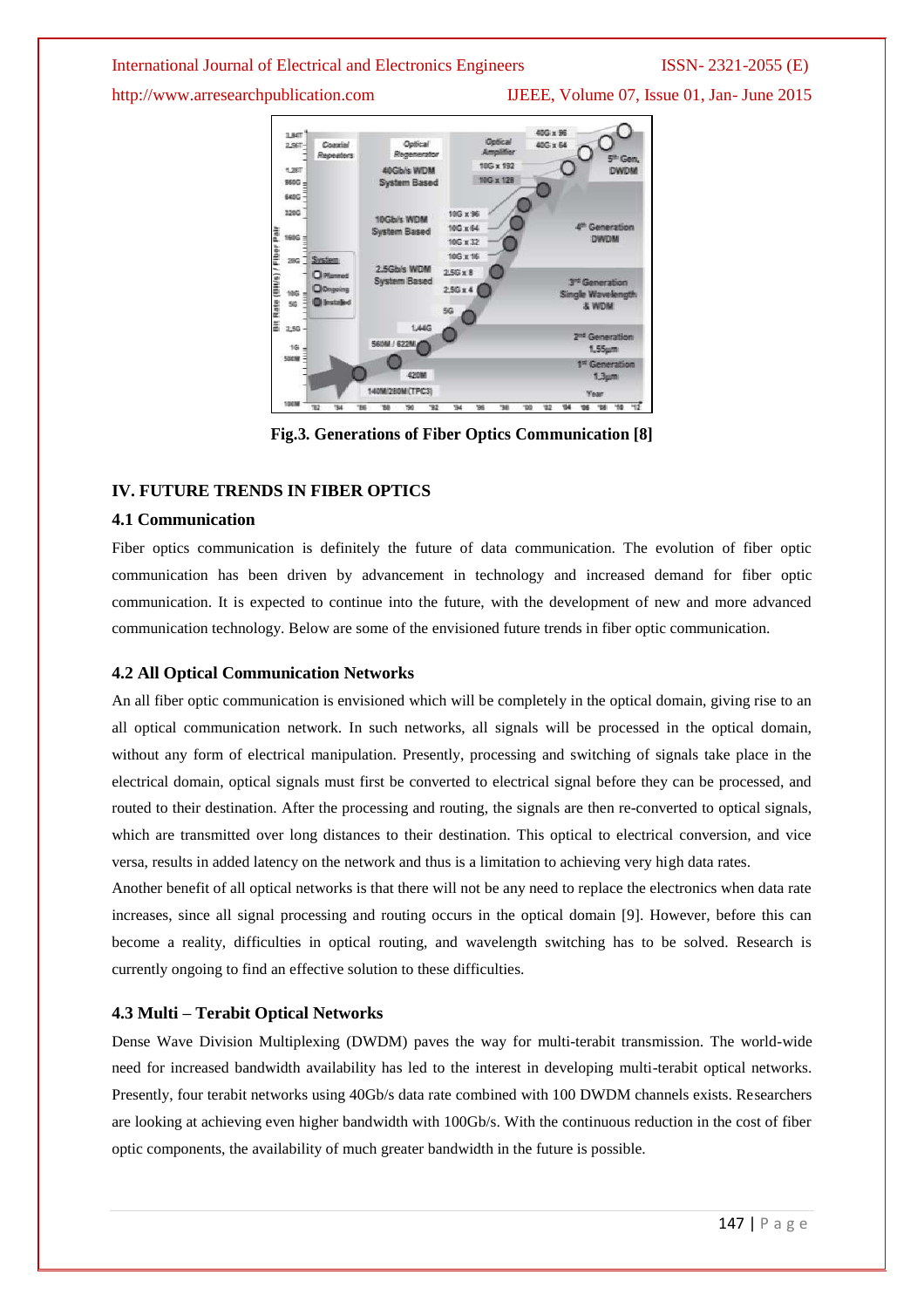http://www.arresearchpublication.com IJEEE, Volume 07, Issue 01, Jan- June 2015



**Fig.3. Generations of Fiber Optics Communication [8]**

# **IV. FUTURE TRENDS IN FIBER OPTICS**

### **4.1 Communication**

Fiber optics communication is definitely the future of data communication. The evolution of fiber optic communication has been driven by advancement in technology and increased demand for fiber optic communication. It is expected to continue into the future, with the development of new and more advanced communication technology. Below are some of the envisioned future trends in fiber optic communication.

### **4.2 All Optical Communication Networks**

An all fiber optic communication is envisioned which will be completely in the optical domain, giving rise to an all optical communication network. In such networks, all signals will be processed in the optical domain, without any form of electrical manipulation. Presently, processing and switching of signals take place in the electrical domain, optical signals must first be converted to electrical signal before they can be processed, and routed to their destination. After the processing and routing, the signals are then re-converted to optical signals, which are transmitted over long distances to their destination. This optical to electrical conversion, and vice versa, results in added latency on the network and thus is a limitation to achieving very high data rates.

Another benefit of all optical networks is that there will not be any need to replace the electronics when data rate increases, since all signal processing and routing occurs in the optical domain [9]. However, before this can become a reality, difficulties in optical routing, and wavelength switching has to be solved. Research is currently ongoing to find an effective solution to these difficulties.

# **4.3 Multi – Terabit Optical Networks**

Dense Wave Division Multiplexing (DWDM) paves the way for multi-terabit transmission. The world-wide need for increased bandwidth availability has led to the interest in developing multi-terabit optical networks. Presently, four terabit networks using 40Gb/s data rate combined with 100 DWDM channels exists. Researchers are looking at achieving even higher bandwidth with 100Gb/s. With the continuous reduction in the cost of fiber optic components, the availability of much greater bandwidth in the future is possible.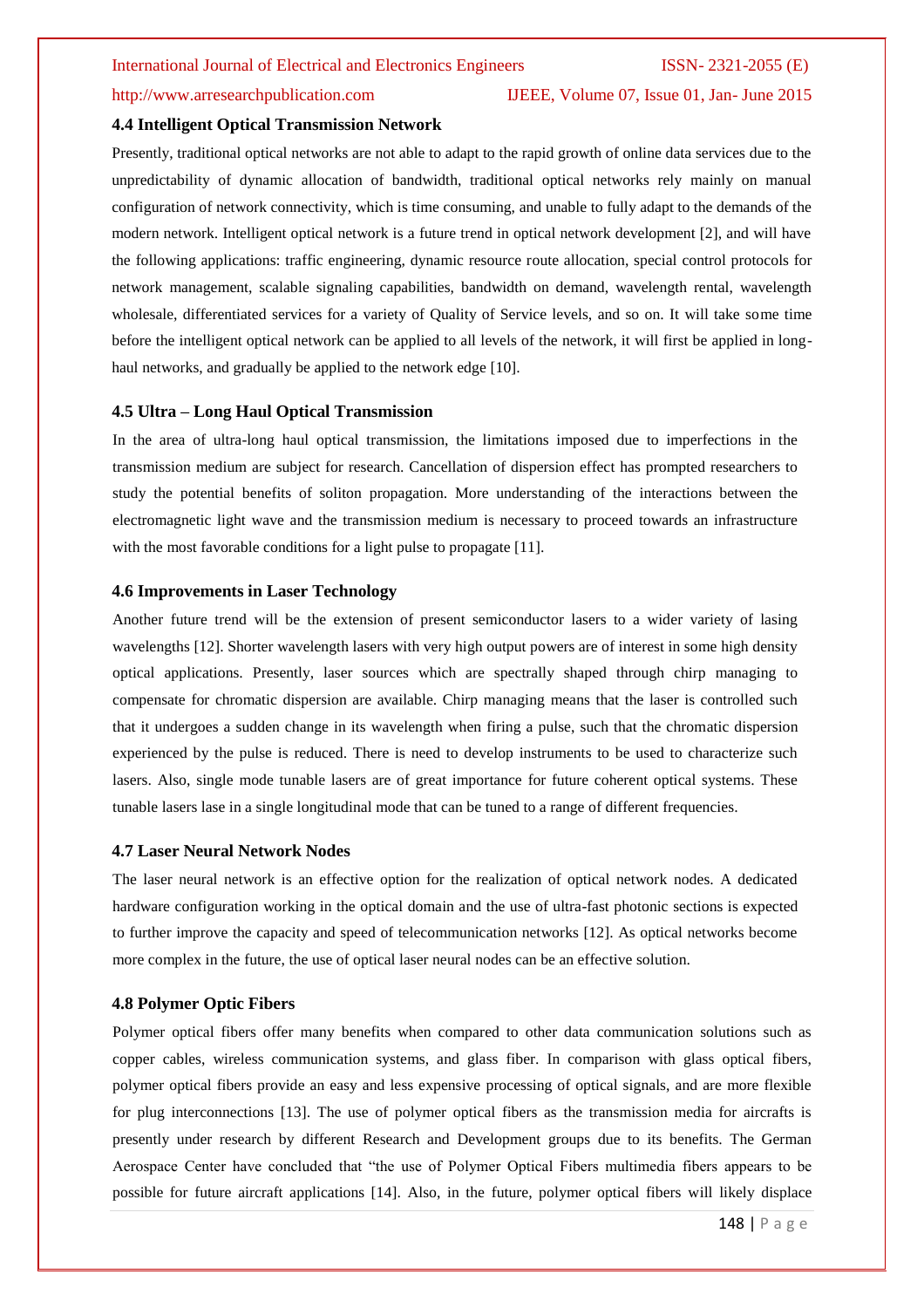# http://www.arresearchpublication.com IJEEE, Volume 07, Issue 01, Jan- June 2015

# **4.4 Intelligent Optical Transmission Network**

Presently, traditional optical networks are not able to adapt to the rapid growth of online data services due to the unpredictability of dynamic allocation of bandwidth, traditional optical networks rely mainly on manual configuration of network connectivity, which is time consuming, and unable to fully adapt to the demands of the modern network. Intelligent optical network is a future trend in optical network development [2], and will have the following applications: traffic engineering, dynamic resource route allocation, special control protocols for network management, scalable signaling capabilities, bandwidth on demand, wavelength rental, wavelength wholesale, differentiated services for a variety of Quality of Service levels, and so on. It will take some time before the intelligent optical network can be applied to all levels of the network, it will first be applied in longhaul networks, and gradually be applied to the network edge [10].

### **4.5 Ultra – Long Haul Optical Transmission**

In the area of ultra-long haul optical transmission, the limitations imposed due to imperfections in the transmission medium are subject for research. Cancellation of dispersion effect has prompted researchers to study the potential benefits of soliton propagation. More understanding of the interactions between the electromagnetic light wave and the transmission medium is necessary to proceed towards an infrastructure with the most favorable conditions for a light pulse to propagate [11].

#### **4.6 Improvements in Laser Technology**

Another future trend will be the extension of present semiconductor lasers to a wider variety of lasing wavelengths [12]. Shorter wavelength lasers with very high output powers are of interest in some high density optical applications. Presently, laser sources which are spectrally shaped through chirp managing to compensate for chromatic dispersion are available. Chirp managing means that the laser is controlled such that it undergoes a sudden change in its wavelength when firing a pulse, such that the chromatic dispersion experienced by the pulse is reduced. There is need to develop instruments to be used to characterize such lasers. Also, single mode tunable lasers are of great importance for future coherent optical systems. These tunable lasers lase in a single longitudinal mode that can be tuned to a range of different frequencies.

#### **4.7 Laser Neural Network Nodes**

The laser neural network is an effective option for the realization of optical network nodes. A dedicated hardware configuration working in the optical domain and the use of ultra-fast photonic sections is expected to further improve the capacity and speed of telecommunication networks [12]. As optical networks become more complex in the future, the use of optical laser neural nodes can be an effective solution.

### **4.8 Polymer Optic Fibers**

Polymer optical fibers offer many benefits when compared to other data communication solutions such as copper cables, wireless communication systems, and glass fiber. In comparison with glass optical fibers, polymer optical fibers provide an easy and less expensive processing of optical signals, and are more flexible for plug interconnections [13]. The use of polymer optical fibers as the transmission media for aircrafts is presently under research by different Research and Development groups due to its benefits. The German Aerospace Center have concluded that "the use of Polymer Optical Fibers multimedia fibers appears to be possible for future aircraft applications [14]. Also, in the future, polymer optical fibers will likely displace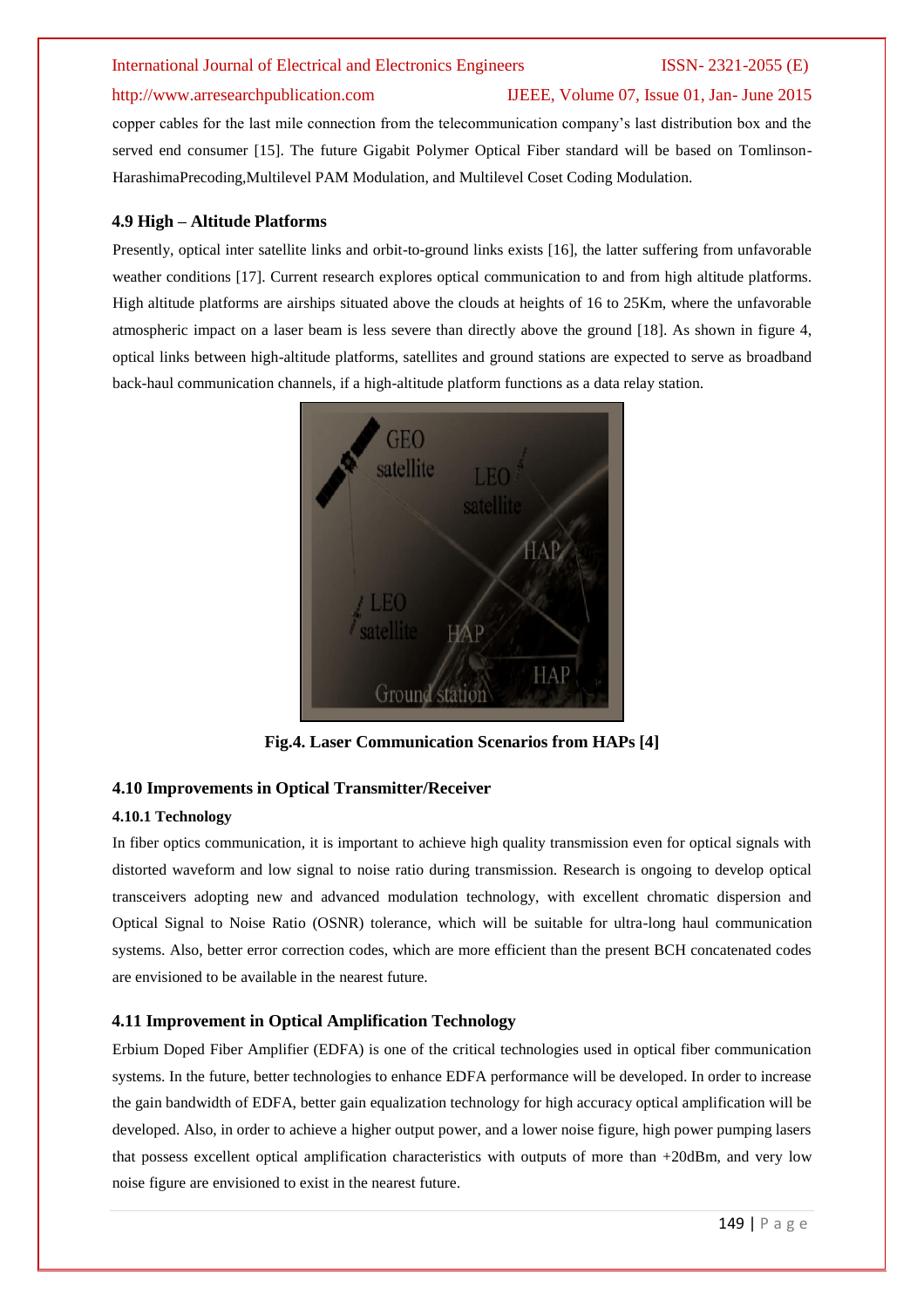# http://www.arresearchpublication.com IJEEE, Volume 07, Issue 01, Jan- June 2015

copper cables for the last mile connection from the telecommunication company's last distribution box and the served end consumer [15]. The future Gigabit Polymer Optical Fiber standard will be based on Tomlinson-HarashimaPrecoding,Multilevel PAM Modulation, and Multilevel Coset Coding Modulation.

# **4.9 High – Altitude Platforms**

Presently, optical inter satellite links and orbit-to-ground links exists [16], the latter suffering from unfavorable weather conditions [17]. Current research explores optical communication to and from high altitude platforms. High altitude platforms are airships situated above the clouds at heights of 16 to 25Km, where the unfavorable atmospheric impact on a laser beam is less severe than directly above the ground [18]. As shown in figure 4, optical links between high-altitude platforms, satellites and ground stations are expected to serve as broadband back-haul communication channels, if a high-altitude platform functions as a data relay station.



**Fig.4. Laser Communication Scenarios from HAPs [4]**

# **4.10 Improvements in Optical Transmitter/Receiver**

# **4.10.1 Technology**

In fiber optics communication, it is important to achieve high quality transmission even for optical signals with distorted waveform and low signal to noise ratio during transmission. Research is ongoing to develop optical transceivers adopting new and advanced modulation technology, with excellent chromatic dispersion and Optical Signal to Noise Ratio (OSNR) tolerance, which will be suitable for ultra-long haul communication systems. Also, better error correction codes, which are more efficient than the present BCH concatenated codes are envisioned to be available in the nearest future.

### **4.11 Improvement in Optical Amplification Technology**

Erbium Doped Fiber Amplifier (EDFA) is one of the critical technologies used in optical fiber communication systems. In the future, better technologies to enhance EDFA performance will be developed. In order to increase the gain bandwidth of EDFA, better gain equalization technology for high accuracy optical amplification will be developed. Also, in order to achieve a higher output power, and a lower noise figure, high power pumping lasers that possess excellent optical amplification characteristics with outputs of more than +20dBm, and very low noise figure are envisioned to exist in the nearest future.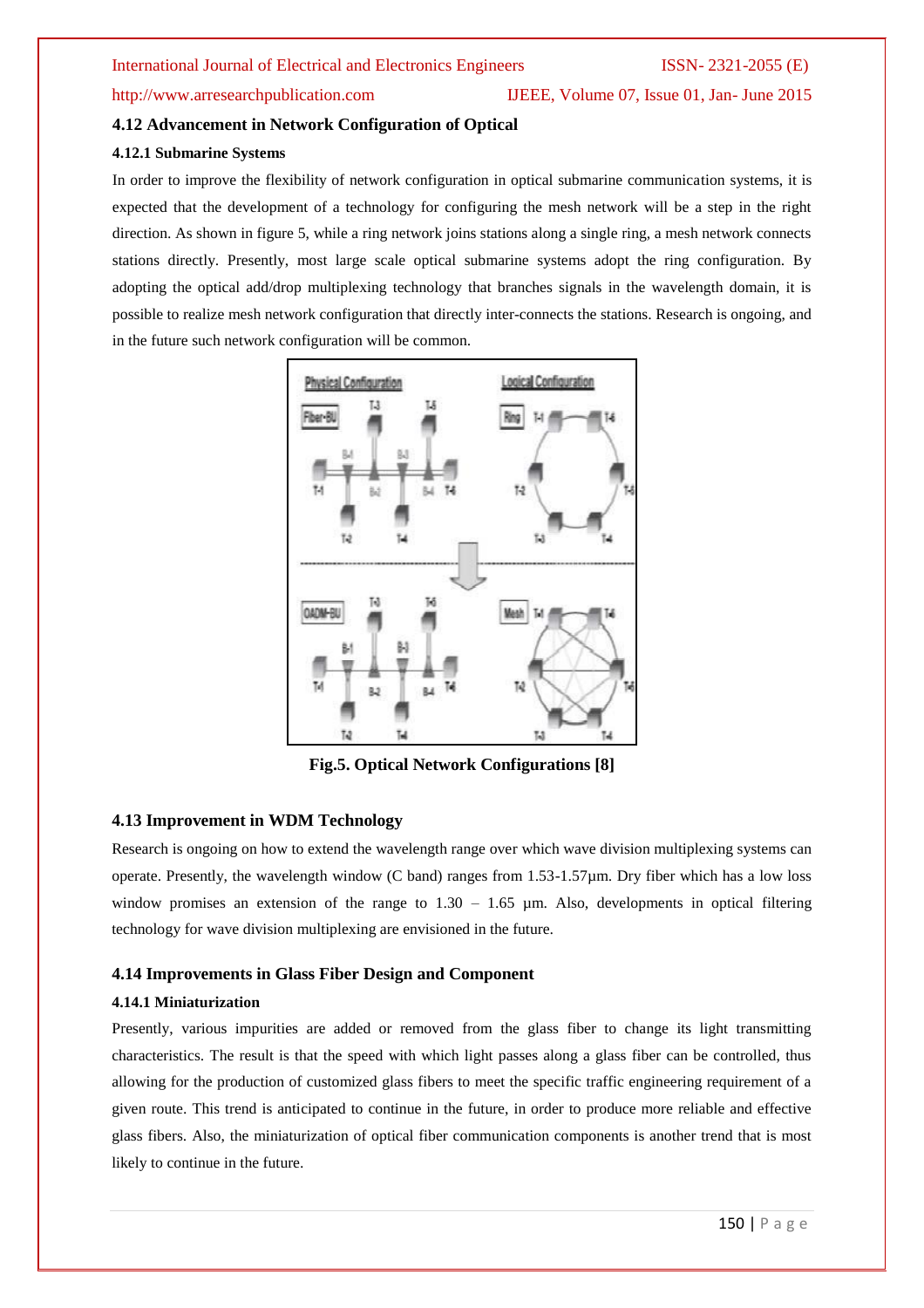# http://www.arresearchpublication.com IJEEE, Volume 07, Issue 01, Jan- June 2015

# **4.12 Advancement in Network Configuration of Optical**

### **4.12.1 Submarine Systems**

In order to improve the flexibility of network configuration in optical submarine communication systems, it is expected that the development of a technology for configuring the mesh network will be a step in the right direction. As shown in figure 5, while a ring network joins stations along a single ring, a mesh network connects stations directly. Presently, most large scale optical submarine systems adopt the ring configuration. By adopting the optical add/drop multiplexing technology that branches signals in the wavelength domain, it is possible to realize mesh network configuration that directly inter-connects the stations. Research is ongoing, and in the future such network configuration will be common.



**Fig.5. Optical Network Configurations [8]**

# **4.13 Improvement in WDM Technology**

Research is ongoing on how to extend the wavelength range over which wave division multiplexing systems can operate. Presently, the wavelength window (C band) ranges from 1.53-1.57µm. Dry fiber which has a low loss window promises an extension of the range to  $1.30 - 1.65$  µm. Also, developments in optical filtering technology for wave division multiplexing are envisioned in the future.

# **4.14 Improvements in Glass Fiber Design and Component**

#### **4.14.1 Miniaturization**

Presently, various impurities are added or removed from the glass fiber to change its light transmitting characteristics. The result is that the speed with which light passes along a glass fiber can be controlled, thus allowing for the production of customized glass fibers to meet the specific traffic engineering requirement of a given route. This trend is anticipated to continue in the future, in order to produce more reliable and effective glass fibers. Also, the miniaturization of optical fiber communication components is another trend that is most likely to continue in the future.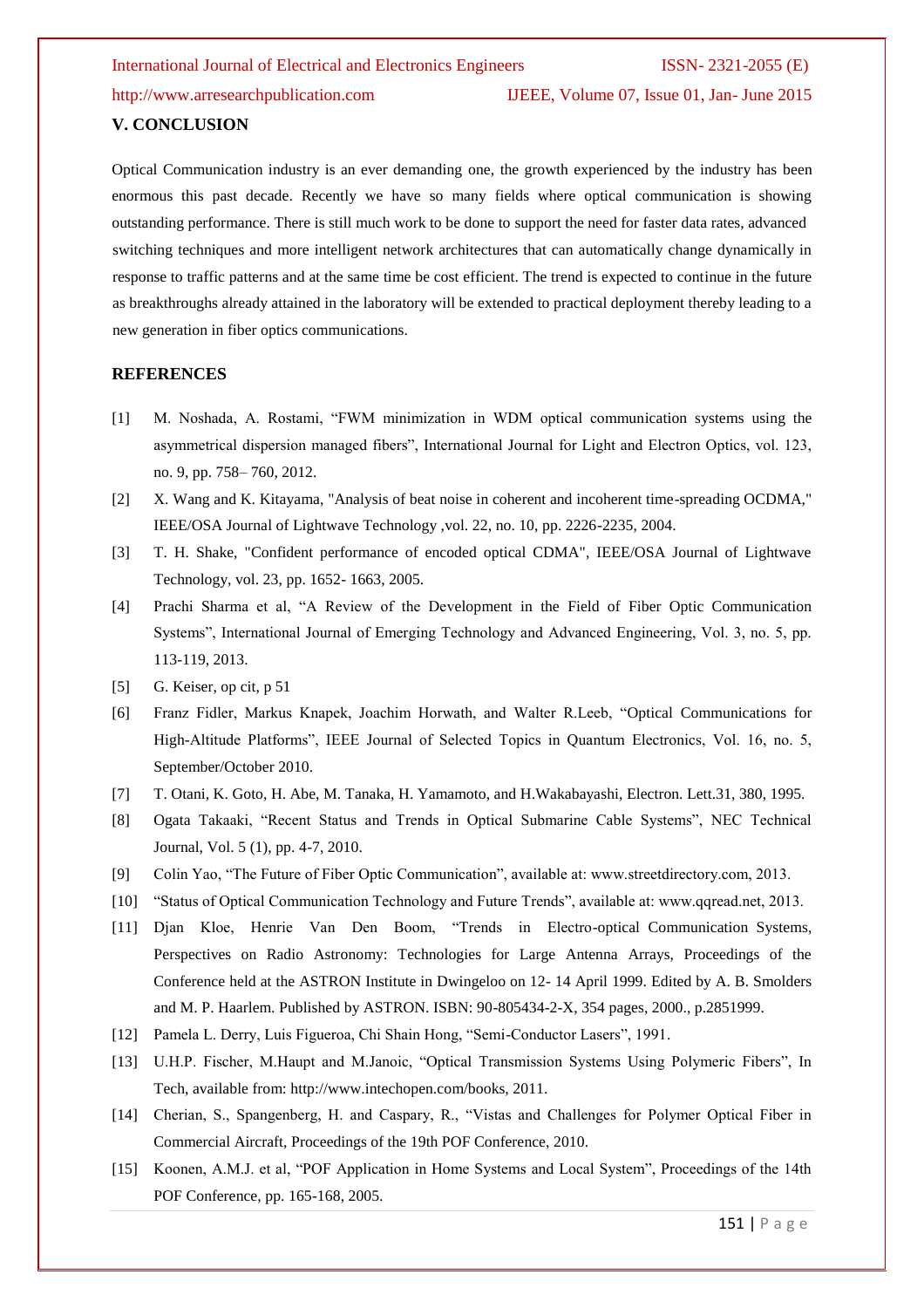http://www.arresearchpublication.com IJEEE, Volume 07, Issue 01, Jan- June 2015

#### **V. CONCLUSION**

Optical Communication industry is an ever demanding one, the growth experienced by the industry has been enormous this past decade. Recently we have so many fields where optical communication is showing outstanding performance. There is still much work to be done to support the need for faster data rates, advanced switching techniques and more intelligent network architectures that can automatically change dynamically in response to traffic patterns and at the same time be cost efficient. The trend is expected to continue in the future as breakthroughs already attained in the laboratory will be extended to practical deployment thereby leading to a new generation in fiber optics communications.

## **REFERENCES**

- [1] M. Noshada, A. Rostami, "FWM minimization in WDM optical communication systems using the asymmetrical dispersion managed fibers", International Journal for Light and Electron Optics, vol. 123, no. 9, pp. 758– 760, 2012.
- [2] X. Wang and K. Kitayama, "Analysis of beat noise in coherent and incoherent time-spreading OCDMA," IEEE/OSA Journal of Lightwave Technology ,vol. 22, no. 10, pp. 2226-2235, 2004.
- [3] T. H. Shake, "Confident performance of encoded optical CDMA", IEEE/OSA Journal of Lightwave Technology, vol. 23, pp. 1652- 1663, 2005.
- [4] Prachi Sharma et al, "A Review of the Development in the Field of Fiber Optic Communication Systems", International Journal of Emerging Technology and Advanced Engineering, Vol. 3, no. 5, pp. 113-119, 2013.
- [5] G. Keiser, op cit, p 51
- [6] Franz Fidler, Markus Knapek, Joachim Horwath, and Walter R.Leeb, "Optical Communications for High-Altitude Platforms", IEEE Journal of Selected Topics in Quantum Electronics, Vol. 16, no. 5, September/October 2010.
- [7] T. Otani, K. Goto, H. Abe, M. Tanaka, H. Yamamoto, and H.Wakabayashi, Electron. Lett.31, 380, 1995.
- [8] Ogata Takaaki, "Recent Status and Trends in Optical Submarine Cable Systems", NEC Technical Journal, Vol. 5 (1), pp. 4-7, 2010.
- [9] Colin Yao, "The Future of Fiber Optic Communication", available at: www.streetdirectory.com, 2013.
- [10] "Status of Optical Communication Technology and Future Trends", available at: www.qqread.net, 2013.
- [11] Djan Kloe, Henrie Van Den Boom, "Trends in Electro-optical Communication Systems, Perspectives on Radio Astronomy: Technologies for Large Antenna Arrays, Proceedings of the Conference held at the ASTRON Institute in Dwingeloo on 12- 14 April 1999. Edited by A. B. Smolders and M. P. Haarlem. Published by ASTRON. ISBN: 90-805434-2-X, 354 pages, 2000., p.2851999.
- [12] Pamela L. Derry, Luis Figueroa, Chi Shain Hong, "Semi-Conductor Lasers", 1991.
- [13] U.H.P. Fischer, M.Haupt and M.Janoic, "Optical Transmission Systems Using Polymeric Fibers", In Tech, available from: http://www.intechopen.com/books, 2011.
- [14] Cherian, S., Spangenberg, H. and Caspary, R., "Vistas and Challenges for Polymer Optical Fiber in Commercial Aircraft, Proceedings of the 19th POF Conference, 2010.
- [15] Koonen, A.M.J. et al, "POF Application in Home Systems and Local System", Proceedings of the 14th POF Conference, pp. 165-168, 2005.